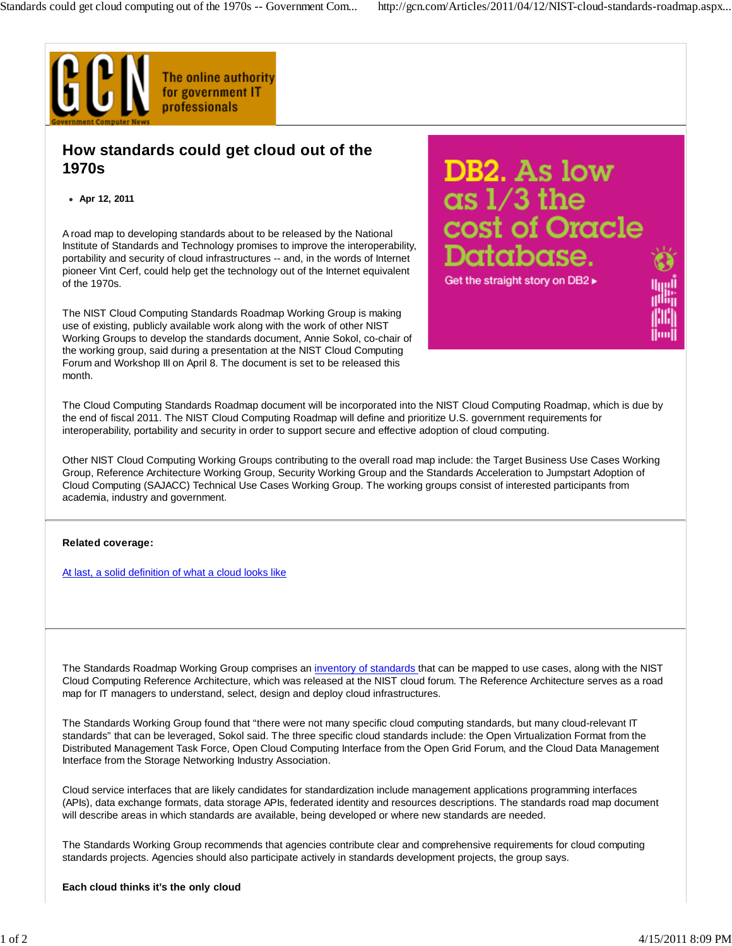

## **How standards could get cloud out of the 1970s**

**Apr 12, 2011**

A road map to developing standards about to be released by the National Institute of Standards and Technology promises to improve the interoperability, portability and security of cloud infrastructures -- and, in the words of Internet pioneer Vint Cerf, could help get the technology out of the Internet equivalent of the 1970s.

The NIST Cloud Computing Standards Roadmap Working Group is making use of existing, publicly available work along with the work of other NIST Working Groups to develop the standards document, Annie Sokol, co-chair of the working group, said during a presentation at the NIST Cloud Computing Forum and Workshop III on April 8. The document is set to be released this month.

DB2. As low  $\alpha s$  1/3 the ost of Oracle Get the straight story on DB2 ▶

lluu

The Cloud Computing Standards Roadmap document will be incorporated into the NIST Cloud Computing Roadmap, which is due by the end of fiscal 2011. The NIST Cloud Computing Roadmap will define and prioritize U.S. government requirements for interoperability, portability and security in order to support secure and effective adoption of cloud computing.

Other NIST Cloud Computing Working Groups contributing to the overall road map include: the Target Business Use Cases Working Group, Reference Architecture Working Group, Security Working Group and the Standards Acceleration to Jumpstart Adoption of Cloud Computing (SAJACC) Technical Use Cases Working Group. The working groups consist of interested participants from academia, industry and government.

## **Related coverage:**

At last, a solid definition of what a cloud looks like

The Standards Roadmap Working Group comprises an inventory of standards that can be mapped to use cases, along with the NIST Cloud Computing Reference Architecture, which was released at the NIST cloud forum. The Reference Architecture serves as a road map for IT managers to understand, select, design and deploy cloud infrastructures.

The Standards Working Group found that "there were not many specific cloud computing standards, but many cloud-relevant IT standards" that can be leveraged, Sokol said. The three specific cloud standards include: the Open Virtualization Format from the Distributed Management Task Force, Open Cloud Computing Interface from the Open Grid Forum, and the Cloud Data Management Interface from the Storage Networking Industry Association.

Cloud service interfaces that are likely candidates for standardization include management applications programming interfaces (APIs), data exchange formats, data storage APIs, federated identity and resources descriptions. The standards road map document will describe areas in which standards are available, being developed or where new standards are needed.

The Standards Working Group recommends that agencies contribute clear and comprehensive requirements for cloud computing standards projects. Agencies should also participate actively in standards development projects, the group says.

**Each cloud thinks it's the only cloud**